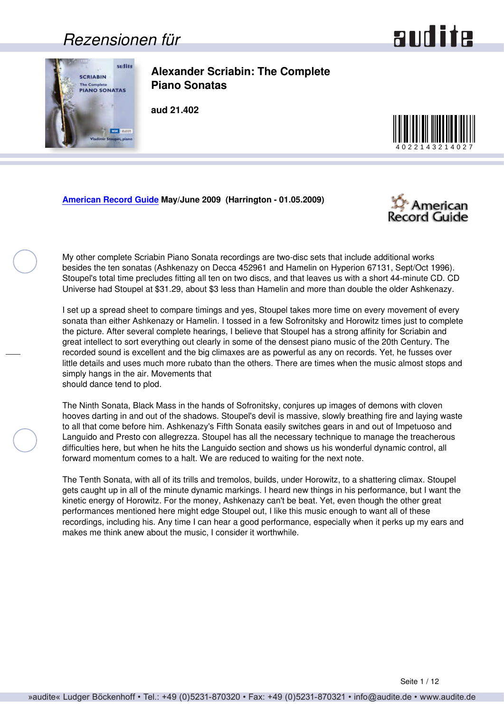### *Rezensionen für*



<span id="page-0-0"></span>

**Alexander Scriabin: The Complete Piano Sonatas**

**aud 21.402**



**[American Record Guide](http://www.americanrecordguide.com) May/June 2009 (Harrington - 01.05.2009)**



My other complete Scriabin Piano Sonata recordings are two-disc sets that include additional works besides the ten sonatas (Ashkenazy on Decca 452961 and Hamelin on Hyperion 67131, Sept/Oct 1996). Stoupel's total time precludes fitting all ten on two discs, and that leaves us with a short 44-minute CD. CD Universe had Stoupel at \$31.29, about \$3 less than Hamelin and more than double the older Ashkenazy.

I set up a spread sheet to compare timings and yes, Stoupel takes more time on every movement of every sonata than either Ashkenazy or Hamelin. I tossed in a few Sofronitsky and Horowitz times just to complete the picture. After several complete hearings, I believe that Stoupel has a strong affinity for Scriabin and great intellect to sort everything out clearly in some of the densest piano music of the 20th Century. The recorded sound is excellent and the big climaxes are as powerful as any on records. Yet, he fusses over little details and uses much more rubato than the others. There are times when the music almost stops and simply hangs in the air. Movements that should dance tend to plod.

The Ninth Sonata, Black Mass in the hands of Sofronitsky, conjures up images of demons with cloven hooves darting in and out of the shadows. Stoupel's devil is massive, slowly breathing fire and laying waste to all that come before him. Ashkenazy's Fifth Sonata easily switches gears in and out of Impetuoso and Languido and Presto con allegrezza. Stoupel has all the necessary technique to manage the treacherous difficulties here, but when he hits the Languido section and shows us his wonderful dynamic control, all forward momentum comes to a halt. We are reduced to waiting for the next note.

The Tenth Sonata, with all of its trills and tremolos, builds, under Horowitz, to a shattering climax. Stoupel gets caught up in all of the minute dynamic markings. I heard new things in his performance, but I want the kinetic energy of Horowitz. For the money, Ashkenazy can't be beat. Yet, even though the other great performances mentioned here might edge Stoupel out, I like this music enough to want all of these recordings, including his. Any time I can hear a good performance, especially when it perks up my ears and makes me think anew about the music, I consider it worthwhile.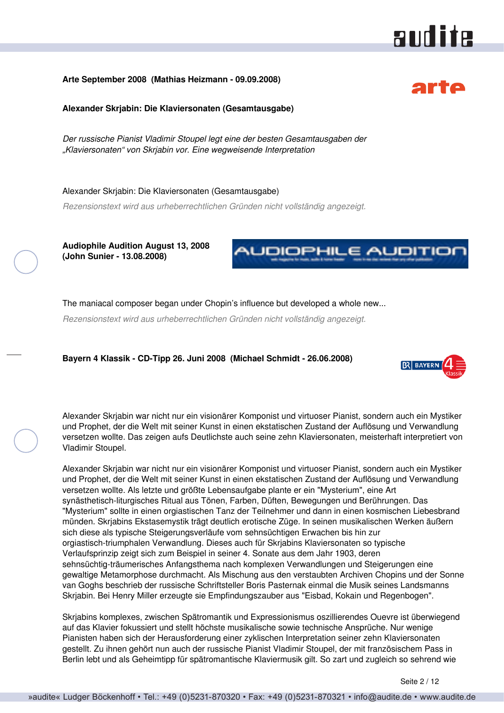#### <span id="page-1-0"></span>**Arte September 2008 (Mathias Heizmann - 09.09.2008)**

**Alexander Skrjabin: Die Klaviersonaten (Gesamtausgabe)**

*Der russische Pianist Vladimir Stoupel legt eine der besten Gesamtausgaben der "Klaviersonaten" von Skrjabin vor. Eine wegweisende Interpretation*

Alexander Skrjabin: Die Klaviersonaten (Gesamtausgabe)

*Rezensionstext wird aus urheberrechtlichen Gründen nicht vollständig angezeigt.*

**Audiophile Audition August 13, 2008 (John Sunier - 13.08.2008)**



The maniacal composer began under Chopin's influence but developed a whole new...

*Rezensionstext wird aus urheberrechtlichen Gründen nicht vollständig angezeigt.*

**Bayern 4 Klassik - CD-Tipp 26. Juni 2008 (Michael Schmidt - 26.06.2008)**



Alexander Skrjabin war nicht nur ein visionärer Komponist und virtuoser Pianist, sondern auch ein Mystiker und Prophet, der die Welt mit seiner Kunst in einen ekstatischen Zustand der Auflösung und Verwandlung versetzen wollte. Das zeigen aufs Deutlichste auch seine zehn Klaviersonaten, meisterhaft interpretiert von Vladimir Stoupel.

Alexander Skrjabin war nicht nur ein visionärer Komponist und virtuoser Pianist, sondern auch ein Mystiker und Prophet, der die Welt mit seiner Kunst in einen ekstatischen Zustand der Auflösung und Verwandlung versetzen wollte. Als letzte und größte Lebensaufgabe plante er ein "Mysterium", eine Art synästhetisch-liturgisches Ritual aus Tönen, Farben, Düften, Bewegungen und Berührungen. Das "Mysterium" sollte in einen orgiastischen Tanz der Teilnehmer und dann in einen kosmischen Liebesbrand münden. Skrjabins Ekstasemystik trägt deutlich erotische Züge. In seinen musikalischen Werken äußern sich diese als typische Steigerungsverläufe vom sehnsüchtigen Erwachen bis hin zur orgiastisch-triumphalen Verwandlung. Dieses auch für Skrjabins Klaviersonaten so typische Verlaufsprinzip zeigt sich zum Beispiel in seiner 4. Sonate aus dem Jahr 1903, deren sehnsüchtig-träumerisches Anfangsthema nach komplexen Verwandlungen und Steigerungen eine gewaltige Metamorphose durchmacht. Als Mischung aus den verstaubten Archiven Chopins und der Sonne van Goghs beschrieb der russische Schriftsteller Boris Pasternak einmal die Musik seines Landsmanns Skrjabin. Bei Henry Miller erzeugte sie Empfindungszauber aus "Eisbad, Kokain und Regenbogen".

Skrjabins komplexes, zwischen Spätromantik und Expressionismus oszillierendes Ouevre ist überwiegend auf das Klavier fokussiert und stellt höchste musikalische sowie technische Ansprüche. Nur wenige Pianisten haben sich der Herausforderung einer zyklischen Interpretation seiner zehn Klaviersonaten gestellt. Zu ihnen gehört nun auch der russische Pianist Vladimir Stoupel, der mit französischem Pass in Berlin lebt und als Geheimtipp für spätromantische Klaviermusik gilt. So zart und zugleich so sehrend wie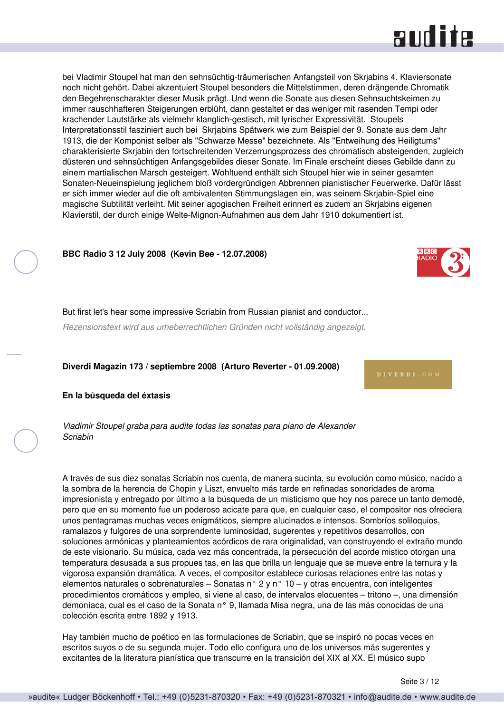

<span id="page-2-0"></span>bei Vladimir Stoupel hat man den sehnsüchtig-träumerischen Anfangsteil von Skrjabins 4. Klaviersonate noch nicht gehört. Dabei akzentuiert Stoupel besonders die Mittelstimmen, deren drängende Chromatik den Begehrenscharakter dieser Musik prägt. Und wenn die Sonate aus diesen Sehnsuchtskeimen zu immer rauschhafteren Steigerungen erblüht, dann gestaltet er das weniger mit rasenden Tempi oder krachender Lautstärke als vielmehr klanglich-gestisch, mit lyrischer Expressivität. Stoupels Interpretationsstil fasziniert auch bei Skrjabins Spätwerk wie zum Beispiel der 9. Sonate aus dem Jahr 1913, die der Komponist selber als "Schwarze Messe" bezeichnete. Als "Entweihung des Heiligtums" charakterisierte Skrjabin den fortschreitenden Verzerrungsprozess des chromatisch absteigenden, zugleich düsteren und sehnsüchtigen Anfangsgebildes dieser Sonate. Im Finale erscheint dieses Gebilde dann zu einem martialischen Marsch gesteigert. Wohltuend enthält sich Stoupel hier wie in seiner gesamten Sonaten-Neueinspielung jeglichem bloß vordergründigen Abbrennen pianistischer Feuerwerke. Dafür lässt er sich immer wieder auf die oft ambivalenten Stimmungslagen ein, was seinem Skrjabin-Spiel eine magische Subtilität verleiht. Mit seiner agogischen Freiheit erinnert es zudem an Skrjabins eigenen Klavierstil, der durch einige Welte-Mignon-Aufnahmen aus dem Jahr 1910 dokumentiert ist.

**BBC Radio 3 12 July 2008 (Kevin Bee - 12.07.2008)**



But first let's hear some impressive Scriabin from Russian pianist and conductor...

*Rezensionstext wird aus urheberrechtlichen Gründen nicht vollständig angezeigt.*

**Diverdi Magazin 173 / septiembre 2008 (Arturo Reverter - 01.09.2008)**

**En la búsqueda del éxtasis**

*Vladimir Stoupel graba para audite todas las sonatas para piano de Alexander Scriabin*

A través de sus diez sonatas Scriabin nos cuenta, de manera sucinta, su evolución como músico, nacido a la sombra de la herencia de Chopin y Liszt, envuelto más tarde en refinadas sonoridades de aroma impresionista y entregado por último a la búsqueda de un misticismo que hoy nos parece un tanto demodé, pero que en su momento fue un poderoso acicate para que, en cualquier caso, el compositor nos ofreciera unos pentagramas muchas veces enigmáticos, siempre alucinados e intensos. Sombríos soliloquios, ramalazos y fulgores de una sorprendente luminosidad, sugerentes y repetitivos desarrollos, con soluciones armónicas y planteamientos acórdicos de rara originalidad, van construyendo el extraño mundo de este visionario. Su música, cada vez más concentrada, la persecución del acorde mistico otorgan una temperatura desusada a sus propues tas, en las que brilla un lenguaje que se mueve entre la ternura y la vigorosa expansión dramática. A veces, el compositor establece curiosas relaciones entre las notas y elementos naturales o sobrenaturales – Sonatas n° 2 y n° 10 – y otras encuentra, con inteligentes procedimientos cromáticos y empleo, si viene al caso, de intervalos elocuentes – tritono –, una dimensión demoníaca, cual es el caso de la Sonata n° 9, llamada Misa negra, una de las más conocidas de una colección escrita entre 1892 y 1913.

Hay también mucho de poético en las formulaciones de Scriabin, que se inspiró no pocas veces en escritos suyos o de su segunda mujer. Todo ello configura uno de los universos más sugerentes y excitantes de la literatura pianística que transcurre en la transición del XIX al XX. El músico supo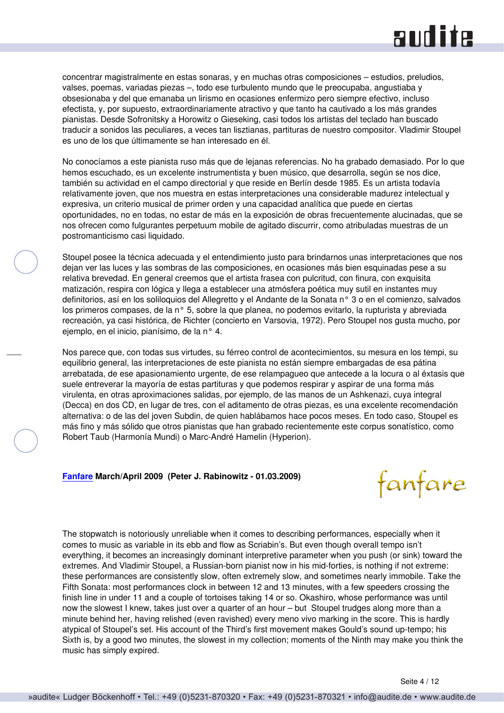### and ite

<span id="page-3-0"></span>concentrar magistralmente en estas sonaras, y en muchas otras composiciones – estudios, preludios, valses, poemas, variadas piezas –, todo ese turbulento mundo que le preocupaba, angustiaba y obsesionaba y del que emanaba un lirismo en ocasiones enfermizo pero siempre efectivo, incluso efectista, y, por supuesto, extraordinariamente atractivo y que tanto ha cautivado a los más grandes pianistas. Desde Sofronitsky a Horowitz o Gieseking, casi todos los artistas del teclado han buscado traducir a sonidos las peculiares, a veces tan lisztianas, partituras de nuestro compositor. Vladimir Stoupel es uno de los que últimamente se han interesado en él.

No conocíamos a este pianista ruso más que de lejanas referencias. No ha grabado demasiado. Por lo que hemos escuchado, es un excelente instrumentista y buen músico, que desarrolla, según se nos dice, también su actividad en el campo directorial y que reside en Berlín desde 1985. Es un artista todavía relativamente joven, que nos muestra en estas interpretaciones una considerable madurez intelectual y expresiva, un criterio musical de primer orden y una capacidad analítica que puede en ciertas oportunidades, no en todas, no estar de más en la exposición de obras frecuentemente alucinadas, que se nos ofrecen como fulgurantes perpetuum mobile de agitado discurrir, como atribuladas muestras de un postromanticismo casi liquidado.

Stoupel posee la técnica adecuada y el entendimiento justo para brindarnos unas interpretaciones que nos dejan ver las luces y las sombras de las composiciones, en ocasiones más bien esquinadas pese a su relativa brevedad. En general creemos que el artista frasea con pulcritud, con finura, con exquisita matización, respira con lógica y llega a establecer una atmósfera poética muy sutil en instantes muy definitorios, así en los soliloquios del Allegretto y el Andante de la Sonata n° 3 o en el comienzo, salvados los primeros compases, de la n° 5, sobre la que planea, no podemos evitarlo, la rupturista y abreviada recreación, ya casi histórica, de Richter (concierto en Varsovia, 1972). Pero Stoupel nos gusta mucho, por ejemplo, en el inicio, pianísimo, de la n° 4.

Nos parece que, con todas sus virtudes, su férreo control de acontecimientos, su mesura en los tempi, su equilibrio general, las interpretaciones de este pianista no están siempre embargadas de esa pátina arrebatada, de ese apasionamiento urgente, de ese relampagueo que antecede a la locura o al éxtasis que suele entreverar la mayoría de estas partituras y que podemos respirar y aspirar de una forma más virulenta, en otras aproximaciones salidas, por ejemplo, de las manos de un Ashkenazi, cuya integral (Decca) en dos CD, en lugar de tres, con el aditamento de otras piezas, es una excelente recomendación alternativa: o de las del joven Subdin, de quien hablábamos hace pocos meses. En todo caso, Stoupel es más fino y más sólido que otros pianistas que han grabado recientemente este corpus sonatístico, como Robert Taub (Harmonía Mundi) o Marc-André Hamelin (Hyperion).

#### **[Fanfare](http://www.fanfaremag.com/) March/April 2009 (Peter J. Rabinowitz - 01.03.2009)**

fanfare

The stopwatch is notoriously unreliable when it comes to describing performances, especially when it comes to music as variable in its ebb and flow as Scriabin's. But even though overall tempo isn't everything, it becomes an increasingly dominant interpretive parameter when you push (or sink) toward the extremes. And Vladimir Stoupel, a Russian-born pianist now in his mid-forties, is nothing if not extreme: these performances are consistently slow, often extremely slow, and sometimes nearly immobile. Take the Fifth Sonata: most performances clock in between 12 and 13 minutes, with a few speeders crossing the finish line in under 11 and a couple of tortoises taking 14 or so. Okashiro, whose performance was until now the slowest I knew, takes just over a quarter of an hour – but Stoupel trudges along more than a minute behind her, having relished (even ravished) every meno vivo marking in the score. This is hardly atypical of Stoupel's set. His account of the Third's first movement makes Gould's sound up-tempo; his Sixth is, by a good two minutes, the slowest in my collection; moments of the Ninth may make you think the music has simply expired.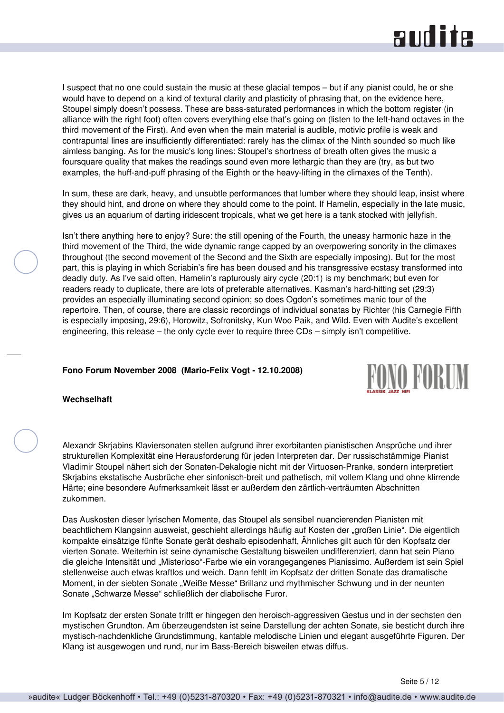### **RUD ite**

<span id="page-4-0"></span>I suspect that no one could sustain the music at these glacial tempos – but if any pianist could, he or she would have to depend on a kind of textural clarity and plasticity of phrasing that, on the evidence here, Stoupel simply doesn't possess. These are bass-saturated performances in which the bottom register (in alliance with the right foot) often covers everything else that's going on (listen to the left-hand octaves in the third movement of the First). And even when the main material is audible, motivic profile is weak and contrapuntal lines are insufficiently differentiated: rarely has the climax of the Ninth sounded so much like aimless banging. As for the music's long lines: Stoupel's shortness of breath often gives the music a foursquare quality that makes the readings sound even more lethargic than they are (try, as but two examples, the huff-and-puff phrasing of the Eighth or the heavy-lifting in the climaxes of the Tenth).

In sum, these are dark, heavy, and unsubtle performances that lumber where they should leap, insist where they should hint, and drone on where they should come to the point. If Hamelin, especially in the late music, gives us an aquarium of darting iridescent tropicals, what we get here is a tank stocked with jellyfish.

Isn't there anything here to enjoy? Sure: the still opening of the Fourth, the uneasy harmonic haze in the third movement of the Third, the wide dynamic range capped by an overpowering sonority in the climaxes throughout (the second movement of the Second and the Sixth are especially imposing). But for the most part, this is playing in which Scriabin's fire has been doused and his transgressive ecstasy transformed into deadly duty. As I've said often, Hamelin's rapturously airy cycle (20:1) is my benchmark; but even for readers ready to duplicate, there are lots of preferable alternatives. Kasman's hard-hitting set (29:3) provides an especially illuminating second opinion; so does Ogdon's sometimes manic tour of the repertoire. Then, of course, there are classic recordings of individual sonatas by Richter (his Carnegie Fifth is especially imposing, 29:6), Horowitz, Sofronitsky, Kun Woo Paik, and Wild. Even with Audite's excellent engineering, this release – the only cycle ever to require three CDs – simply isn't competitive.

#### **Fono Forum November 2008 (Mario-Felix Vogt - 12.10.2008)**



#### **Wechselhaft**

Alexandr Skrjabins Klaviersonaten stellen aufgrund ihrer exorbitanten pianistischen Ansprüche und ihrer strukturellen Komplexität eine Herausforderung für jeden Interpreten dar. Der russischstämmige Pianist Vladimir Stoupel nähert sich der Sonaten-Dekalogie nicht mit der Virtuosen-Pranke, sondern interpretiert Skrjabins ekstatische Ausbrüche eher sinfonisch-breit und pathetisch, mit vollem Klang und ohne klirrende Härte; eine besondere Aufmerksamkeit lässt er außerdem den zärtlich-verträumten Abschnitten zukommen.

Das Auskosten dieser lyrischen Momente, das Stoupel als sensibel nuancierenden Pianisten mit beachtlichem Klangsinn ausweist, geschieht allerdings häufig auf Kosten der "großen Linie". Die eigentlich kompakte einsätzige fünfte Sonate gerät deshalb episodenhaft, Ähnliches gilt auch für den Kopfsatz der vierten Sonate. Weiterhin ist seine dynamische Gestaltung bisweilen undifferenziert, dann hat sein Piano die gleiche Intensität und "Misterioso"-Farbe wie ein vorangegangenes Pianissimo. Außerdem ist sein Spiel stellenweise auch etwas kraftlos und weich. Dann fehlt im Kopfsatz der dritten Sonate das dramatische Moment, in der siebten Sonate "Weiße Messe" Brillanz und rhythmischer Schwung und in der neunten Sonate "Schwarze Messe" schließlich der diabolische Furor.

Im Kopfsatz der ersten Sonate trifft er hingegen den heroisch-aggressiven Gestus und in der sechsten den mystischen Grundton. Am überzeugendsten ist seine Darstellung der achten Sonate, sie besticht durch ihre mystisch-nachdenkliche Grundstimmung, kantable melodische Linien und elegant ausgeführte Figuren. Der Klang ist ausgewogen und rund, nur im Bass-Bereich bisweilen etwas diffus.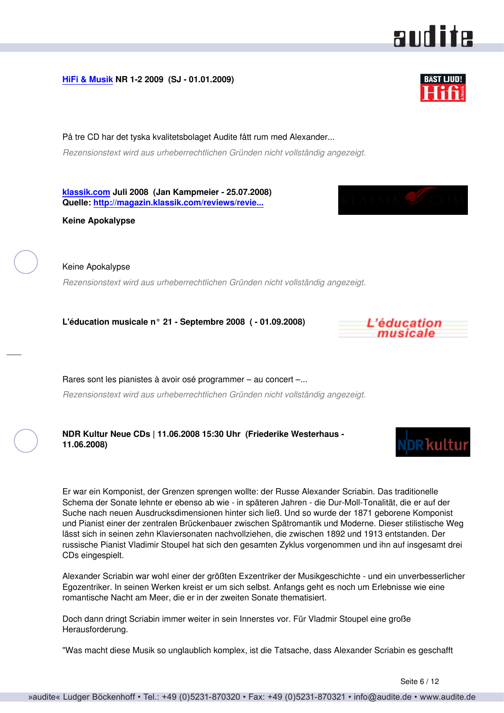#### <span id="page-5-0"></span>**[HiFi & Musik](http://www.hifi-musik.se) NR 1-2 2009 (SJ - 01.01.2009)**

På tre CD har det tyska kvalitetsbolaget Audite fått rum med Alexander... *Rezensionstext wird aus urheberrechtlichen Gründen nicht vollständig angezeigt.*

**[klassik.com](http://www.klassik.com) Juli 2008 (Jan Kampmeier - 25.07.2008) Quelle: [http://magazin.klassik.com/reviews/revie...](http://magazin.klassik.com/reviews/reviews.cfm?TASK=REVIEW&RECID=13061&REID=8545)**

**Keine Apokalypse**

Keine Apokalypse *Rezensionstext wird aus urheberrechtlichen Gründen nicht vollständig angezeigt.*

**L'éducation musicale n° 21 - Septembre 2008 ( - 01.09.2008)**

Rares sont les pianistes à avoir osé programmer – au concert –... *Rezensionstext wird aus urheberrechtlichen Gründen nicht vollständig angezeigt.*

**NDR Kultur Neue CDs | 11.06.2008 15:30 Uhr (Friederike Westerhaus - 11.06.2008)**

Er war ein Komponist, der Grenzen sprengen wollte: der Russe Alexander Scriabin. Das traditionelle Schema der Sonate lehnte er ebenso ab wie - in späteren Jahren - die Dur-Moll-Tonalität, die er auf der Suche nach neuen Ausdrucksdimensionen hinter sich ließ. Und so wurde der 1871 geborene Komponist und Pianist einer der zentralen Brückenbauer zwischen Spätromantik und Moderne. Dieser stilistische Weg lässt sich in seinen zehn Klaviersonaten nachvollziehen, die zwischen 1892 und 1913 entstanden. Der russische Pianist Vladimir Stoupel hat sich den gesamten Zyklus vorgenommen und ihn auf insgesamt drei CDs eingespielt.

Alexander Scriabin war wohl einer der größten Exzentriker der Musikgeschichte - und ein unverbesserlicher Egozentriker. In seinen Werken kreist er um sich selbst. Anfangs geht es noch um Erlebnisse wie eine romantische Nacht am Meer, die er in der zweiten Sonate thematisiert.

Doch dann dringt Scriabin immer weiter in sein Innerstes vor. Für Vladmir Stoupel eine große Herausforderung.

"Was macht diese Musik so unglaublich komplex, ist die Tatsache, dass Alexander Scriabin es geschafft





audite





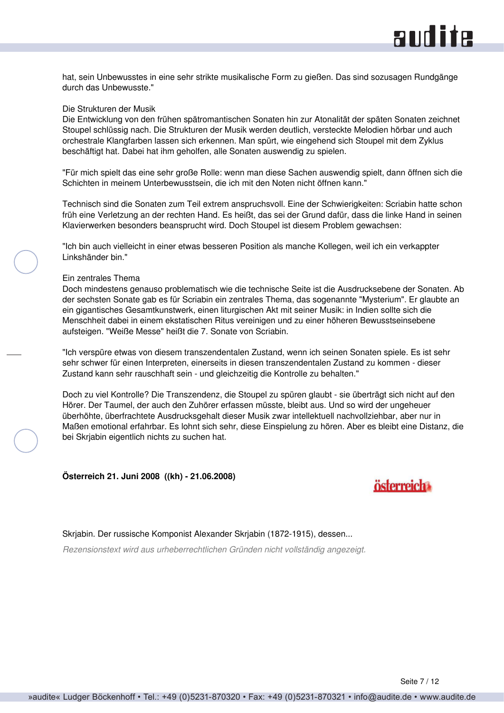<span id="page-6-0"></span>hat, sein Unbewusstes in eine sehr strikte musikalische Form zu gießen. Das sind sozusagen Rundgänge durch das Unbewusste."

#### Die Strukturen der Musik

Die Entwicklung von den frühen spätromantischen Sonaten hin zur Atonalität der späten Sonaten zeichnet Stoupel schlüssig nach. Die Strukturen der Musik werden deutlich, versteckte Melodien hörbar und auch orchestrale Klangfarben lassen sich erkennen. Man spürt, wie eingehend sich Stoupel mit dem Zyklus beschäftigt hat. Dabei hat ihm geholfen, alle Sonaten auswendig zu spielen.

"Für mich spielt das eine sehr große Rolle: wenn man diese Sachen auswendig spielt, dann öffnen sich die Schichten in meinem Unterbewusstsein, die ich mit den Noten nicht öffnen kann."

Technisch sind die Sonaten zum Teil extrem anspruchsvoll. Eine der Schwierigkeiten: Scriabin hatte schon früh eine Verletzung an der rechten Hand. Es heißt, das sei der Grund dafür, dass die linke Hand in seinen Klavierwerken besonders beansprucht wird. Doch Stoupel ist diesem Problem gewachsen:

"Ich bin auch vielleicht in einer etwas besseren Position als manche Kollegen, weil ich ein verkappter Linkshänder bin."

#### Ein zentrales Thema

Doch mindestens genauso problematisch wie die technische Seite ist die Ausdrucksebene der Sonaten. Ab der sechsten Sonate gab es für Scriabin ein zentrales Thema, das sogenannte "Mysterium". Er glaubte an ein gigantisches Gesamtkunstwerk, einen liturgischen Akt mit seiner Musik: in Indien sollte sich die Menschheit dabei in einem ekstatischen Ritus vereinigen und zu einer höheren Bewusstseinsebene aufsteigen. "Weiße Messe" heißt die 7. Sonate von Scriabin.

"Ich verspüre etwas von diesem transzendentalen Zustand, wenn ich seinen Sonaten spiele. Es ist sehr sehr schwer für einen Interpreten, einerseits in diesen transzendentalen Zustand zu kommen - dieser Zustand kann sehr rauschhaft sein - und gleichzeitig die Kontrolle zu behalten."

Doch zu viel Kontrolle? Die Transzendenz, die Stoupel zu spüren glaubt - sie überträgt sich nicht auf den Hörer. Der Taumel, der auch den Zuhörer erfassen müsste, bleibt aus. Und so wird der ungeheuer überhöhte, überfrachtete Ausdrucksgehalt dieser Musik zwar intellektuell nachvollziehbar, aber nur in Maßen emotional erfahrbar. Es lohnt sich sehr, diese Einspielung zu hören. Aber es bleibt eine Distanz, die bei Skrjabin eigentlich nichts zu suchen hat.

**Österreich 21. Juni 2008 ((kh) - 21.06.2008)**



Skrjabin. Der russische Komponist Alexander Skrjabin (1872-1915), dessen...

*Rezensionstext wird aus urheberrechtlichen Gründen nicht vollständig angezeigt.*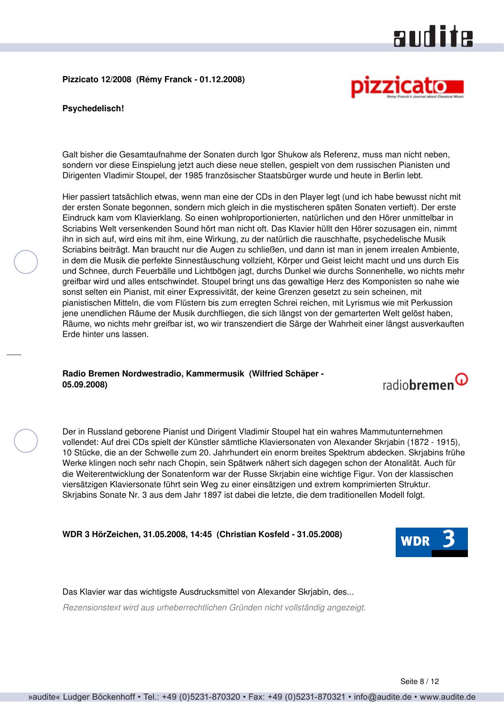<span id="page-7-0"></span>**Pizzicato 12/2008 (Rémy Franck - 01.12.2008)**



**Psychedelisch!**

Galt bisher die Gesamtaufnahme der Sonaten durch Igor Shukow als Referenz, muss man nicht neben, sondern vor diese Einspielung jetzt auch diese neue stellen, gespielt von dem russischen Pianisten und Dirigenten Vladimir Stoupel, der 1985 französischer Staatsbürger wurde und heute in Berlin lebt.

Hier passiert tatsächlich etwas, wenn man eine der CDs in den Player legt (und ich habe bewusst nicht mit der ersten Sonate begonnen, sondern mich gleich in die mystischeren späten Sonaten vertieft). Der erste Eindruck kam vom Klavierklang. So einen wohlproportionierten, natürlichen und den Hörer unmittelbar in Scriabins Welt versenkenden Sound hört man nicht oft. Das Klavier hüllt den Hörer sozusagen ein, nimmt ihn in sich auf, wird eins mit ihm, eine Wirkung, zu der natürlich die rauschhafte, psychedelische Musik Scriabins beiträgt. Man braucht nur die Augen zu schließen, und dann ist man in jenem irrealen Ambiente, in dem die Musik die perfekte Sinnestäuschung vollzieht, Körper und Geist leicht macht und uns durch Eis und Schnee, durch Feuerbälle und Lichtbögen jagt, durchs Dunkel wie durchs Sonnenhelle, wo nichts mehr greifbar wird und alles entschwindet. Stoupel bringt uns das gewaltige Herz des Komponisten so nahe wie sonst selten ein Pianist, mit einer Expressivität, der keine Grenzen gesetzt zu sein scheinen, mit pianistischen Mitteln, die vom Flüstern bis zum erregten Schrei reichen, mit Lyrismus wie mit Perkussion jene unendlichen Räume der Musik durchfliegen, die sich längst von der gemarterten Welt gelöst haben, Räume, wo nichts mehr greifbar ist, wo wir transzendiert die Särge der Wahrheit einer längst ausverkauften Erde hinter uns lassen.

#### **Radio Bremen Nordwestradio, Kammermusik (Wilfried Schäper - 05.09.2008)**

Der in Russland geborene Pianist und Dirigent Vladimir Stoupel hat ein wahres Mammutunternehmen vollendet: Auf drei CDs spielt der Künstler sämtliche Klaviersonaten von Alexander Skrjabin (1872 - 1915), 10 Stücke, die an der Schwelle zum 20. Jahrhundert ein enorm breites Spektrum abdecken. Skrjabins frühe Werke klingen noch sehr nach Chopin, sein Spätwerk nähert sich dagegen schon der Atonalität. Auch für die Weiterentwicklung der Sonatenform war der Russe Skrjabin eine wichtige Figur. Von der klassischen viersätzigen Klaviersonate führt sein Weg zu einer einsätzigen und extrem komprimierten Struktur. Skrjabins Sonate Nr. 3 aus dem Jahr 1897 ist dabei die letzte, die dem traditionellen Modell folgt.

**WDR 3 HörZeichen, 31.05.2008, 14:45 (Christian Kosfeld - 31.05.2008)**



radiobremen<sup>Q</sup>

Das Klavier war das wichtigste Ausdrucksmittel von Alexander Skrjabin, des... *Rezensionstext wird aus urheberrechtlichen Gründen nicht vollständig angezeigt.*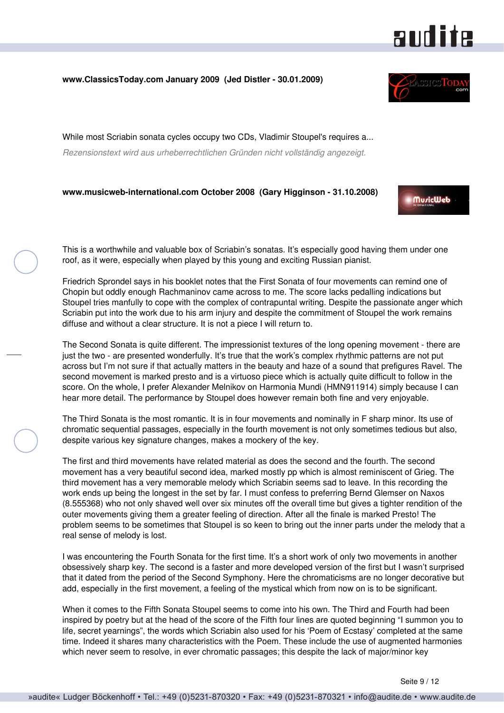#### <span id="page-8-0"></span>**www.ClassicsToday.com January 2009 (Jed Distler - 30.01.2009)**

While most Scriabin sonata cycles occupy two CDs, Vladimir Stoupel's requires a... *Rezensionstext wird aus urheberrechtlichen Gründen nicht vollständig angezeigt.*

#### **www.musicweb-international.com October 2008 (Gary Higginson - 31.10.2008)**

This is a worthwhile and valuable box of Scriabin's sonatas. It's especially good having them under one roof, as it were, especially when played by this young and exciting Russian pianist.

Friedrich Sprondel says in his booklet notes that the First Sonata of four movements can remind one of Chopin but oddly enough Rachmaninov came across to me. The score lacks pedalling indications but Stoupel tries manfully to cope with the complex of contrapuntal writing. Despite the passionate anger which Scriabin put into the work due to his arm injury and despite the commitment of Stoupel the work remains diffuse and without a clear structure. It is not a piece I will return to.

The Second Sonata is quite different. The impressionist textures of the long opening movement - there are just the two - are presented wonderfully. It's true that the work's complex rhythmic patterns are not put across but I'm not sure if that actually matters in the beauty and haze of a sound that prefigures Ravel. The second movement is marked presto and is a virtuoso piece which is actually quite difficult to follow in the score. On the whole, I prefer Alexander Melnikov on Harmonia Mundi (HMN911914) simply because I can hear more detail. The performance by Stoupel does however remain both fine and very enjoyable.

The Third Sonata is the most romantic. It is in four movements and nominally in F sharp minor. Its use of chromatic sequential passages, especially in the fourth movement is not only sometimes tedious but also, despite various key signature changes, makes a mockery of the key.

The first and third movements have related material as does the second and the fourth. The second movement has a very beautiful second idea, marked mostly pp which is almost reminiscent of Grieg. The third movement has a very memorable melody which Scriabin seems sad to leave. In this recording the work ends up being the longest in the set by far. I must confess to preferring Bernd Glemser on Naxos (8.555368) who not only shaved well over six minutes off the overall time but gives a tighter rendition of the outer movements giving them a greater feeling of direction. After all the finale is marked Presto! The problem seems to be sometimes that Stoupel is so keen to bring out the inner parts under the melody that a real sense of melody is lost.

I was encountering the Fourth Sonata for the first time. It's a short work of only two movements in another obsessively sharp key. The second is a faster and more developed version of the first but I wasn't surprised that it dated from the period of the Second Symphony. Here the chromaticisms are no longer decorative but add, especially in the first movement, a feeling of the mystical which from now on is to be significant.

When it comes to the Fifth Sonata Stoupel seems to come into his own. The Third and Fourth had been inspired by poetry but at the head of the score of the Fifth four lines are quoted beginning "I summon you to life, secret yearnings", the words which Scriabin also used for his 'Poem of Ecstasy' completed at the same time. Indeed it shares many characteristics with the Poem. These include the use of augmented harmonies which never seem to resolve, in ever chromatic passages; this despite the lack of major/minor key

# **audite**



**MuricWeb**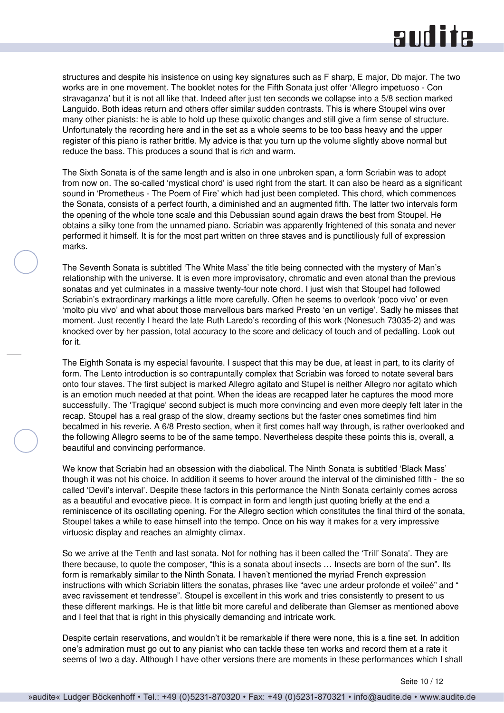structures and despite his insistence on using key signatures such as F sharp, E major, Db major. The two works are in one movement. The booklet notes for the Fifth Sonata just offer 'Allegro impetuoso - Con stravaganza' but it is not all like that. Indeed after just ten seconds we collapse into a 5/8 section marked Languido. Both ideas return and others offer similar sudden contrasts. This is where Stoupel wins over many other pianists: he is able to hold up these quixotic changes and still give a firm sense of structure. Unfortunately the recording here and in the set as a whole seems to be too bass heavy and the upper register of this piano is rather brittle. My advice is that you turn up the volume slightly above normal but reduce the bass. This produces a sound that is rich and warm.

The Sixth Sonata is of the same length and is also in one unbroken span, a form Scriabin was to adopt from now on. The so-called 'mystical chord' is used right from the start. It can also be heard as a significant sound in 'Prometheus - The Poem of Fire' which had just been completed. This chord, which commences the Sonata, consists of a perfect fourth, a diminished and an augmented fifth. The latter two intervals form the opening of the whole tone scale and this Debussian sound again draws the best from Stoupel. He obtains a silky tone from the unnamed piano. Scriabin was apparently frightened of this sonata and never performed it himself. It is for the most part written on three staves and is punctiliously full of expression marks.

The Seventh Sonata is subtitled 'The White Mass' the title being connected with the mystery of Man's relationship with the universe. It is even more improvisatory, chromatic and even atonal than the previous sonatas and yet culminates in a massive twenty-four note chord. I just wish that Stoupel had followed Scriabin's extraordinary markings a little more carefully. Often he seems to overlook 'poco vivo' or even 'molto piu vivo' and what about those marvellous bars marked Presto 'en un vertige'. Sadly he misses that moment. Just recently I heard the late Ruth Laredo's recording of this work (Nonesuch 73035-2) and was knocked over by her passion, total accuracy to the score and delicacy of touch and of pedalling. Look out for it.

The Eighth Sonata is my especial favourite. I suspect that this may be due, at least in part, to its clarity of form. The Lento introduction is so contrapuntally complex that Scriabin was forced to notate several bars onto four staves. The first subject is marked Allegro agitato and Stupel is neither Allegro nor agitato which is an emotion much needed at that point. When the ideas are recapped later he captures the mood more successfully. The 'Tragique' second subject is much more convincing and even more deeply felt later in the recap. Stoupel has a real grasp of the slow, dreamy sections but the faster ones sometimes find him becalmed in his reverie. A 6/8 Presto section, when it first comes half way through, is rather overlooked and the following Allegro seems to be of the same tempo. Nevertheless despite these points this is, overall, a beautiful and convincing performance.

We know that Scriabin had an obsession with the diabolical. The Ninth Sonata is subtitled 'Black Mass' though it was not his choice. In addition it seems to hover around the interval of the diminished fifth - the so called 'Devil's interval'. Despite these factors in this performance the Ninth Sonata certainly comes across as a beautiful and evocative piece. It is compact in form and length just quoting briefly at the end a reminiscence of its oscillating opening. For the Allegro section which constitutes the final third of the sonata, Stoupel takes a while to ease himself into the tempo. Once on his way it makes for a very impressive virtuosic display and reaches an almighty climax.

So we arrive at the Tenth and last sonata. Not for nothing has it been called the 'Trill' Sonata'. They are there because, to quote the composer, "this is a sonata about insects … Insects are born of the sun". Its form is remarkably similar to the Ninth Sonata. I haven't mentioned the myriad French expression instructions with which Scriabin litters the sonatas, phrases like "avec une ardeur profonde et voileé" and " avec ravissement et tendresse". Stoupel is excellent in this work and tries consistently to present to us these different markings. He is that little bit more careful and deliberate than Glemser as mentioned above and I feel that that is right in this physically demanding and intricate work.

Despite certain reservations, and wouldn't it be remarkable if there were none, this is a fine set. In addition one's admiration must go out to any pianist who can tackle these ten works and record them at a rate it seems of two a day. Although I have other versions there are moments in these performances which I shall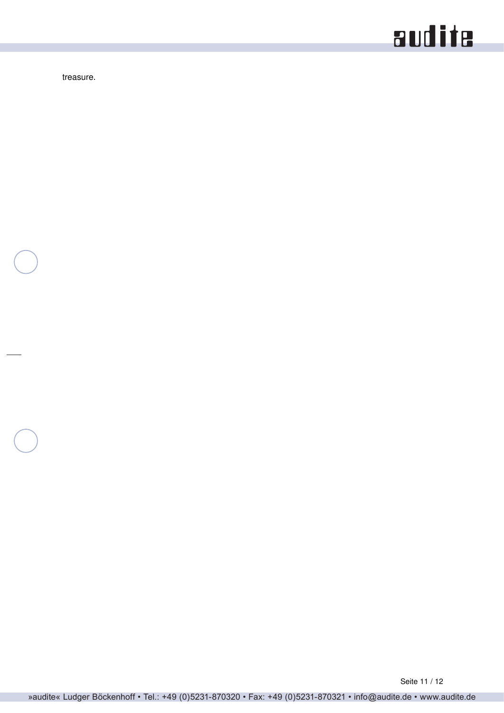treasure.